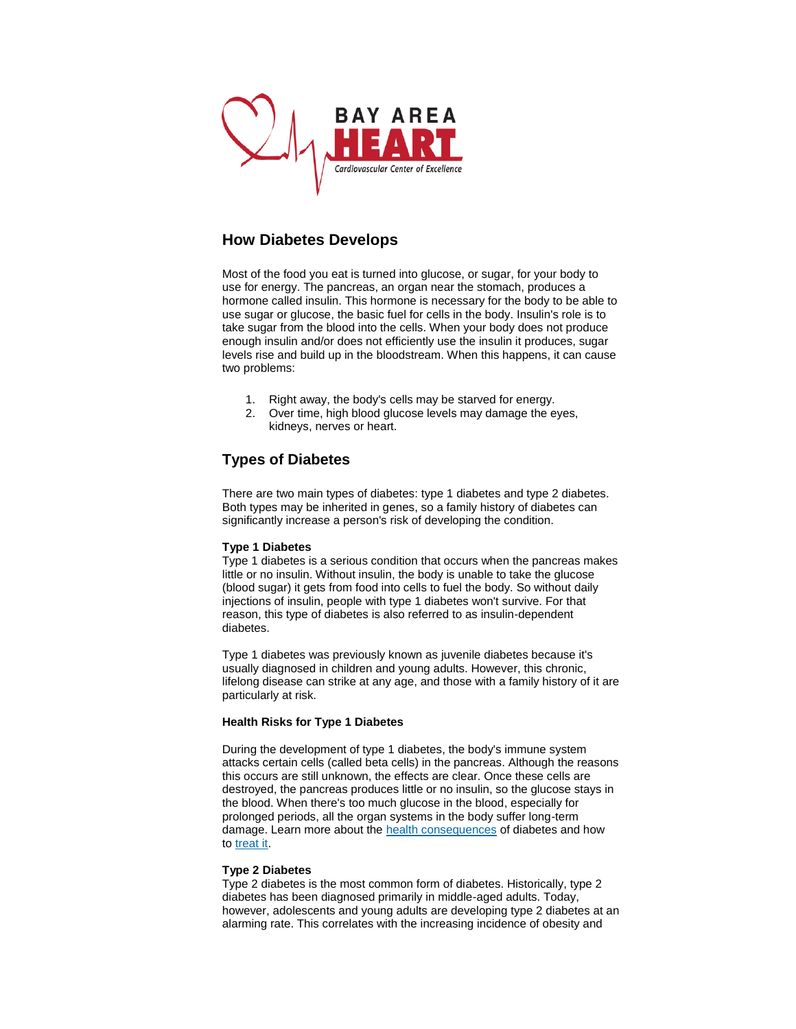

# **How Diabetes Develops**

Most of the food you eat is turned into glucose, or sugar, for your body to use for energy. The pancreas, an organ near the stomach, produces a hormone called insulin. This hormone is necessary for the body to be able to use sugar or glucose, the basic fuel for cells in the body. Insulin's role is to take sugar from the blood into the cells. When your body does not produce enough insulin and/or does not efficiently use the insulin it produces, sugar levels rise and build up in the bloodstream. When this happens, it can cause two problems:

- 1. Right away, the body's cells may be starved for energy.
- 2. Over time, high blood glucose levels may damage the eyes, kidneys, nerves or heart.

## **Types of Diabetes**

There are two main types of diabetes: type 1 diabetes and type 2 diabetes. Both types may be inherited in genes, so a family history of diabetes can significantly increase a person's risk of developing the condition.

### **Type 1 Diabetes**

Type 1 diabetes is a serious condition that occurs when the pancreas makes little or no insulin. Without insulin, the body is unable to take the glucose (blood sugar) it gets from food into cells to fuel the body. So without daily injections of insulin, people with type 1 diabetes won't survive. For that reason, this type of diabetes is also referred to as insulin-dependent diabetes.

Type 1 diabetes was previously known as juvenile diabetes because it's usually diagnosed in children and young adults. However, this chronic, lifelong disease can strike at any age, and those with a family history of it are particularly at risk.

### **Health Risks for Type 1 Diabetes**

During the development of type 1 diabetes, the body's immune system attacks certain cells (called beta cells) in the pancreas. Although the reasons this occurs are still unknown, the effects are clear. Once these cells are destroyed, the pancreas produces little or no insulin, so the glucose stays in the blood. When there's too much glucose in the blood, especially for prolonged periods, all the organ systems in the body suffer long-term damage. Learn more about the [health consequences](http://www.heart.org/HEARTORG/Conditions/Diabetes/WhyDiabetesMatters/Why-Diabetes-Matters_UCM_002033_Article.jsp) of diabetes and how to [treat it.](http://www.heart.org/HEARTORG/Conditions/Diabetes/PreventionTreatmentofDiabetes/Prevention-Treatment-of-Diabetes_UCM_002036_Article.jsp)

#### **Type 2 Diabetes**

Type 2 diabetes is the most common form of diabetes. Historically, type 2 diabetes has been diagnosed primarily in middle-aged adults. Today, however, adolescents and young adults are developing type 2 diabetes at an alarming rate. This correlates with the increasing incidence of obesity and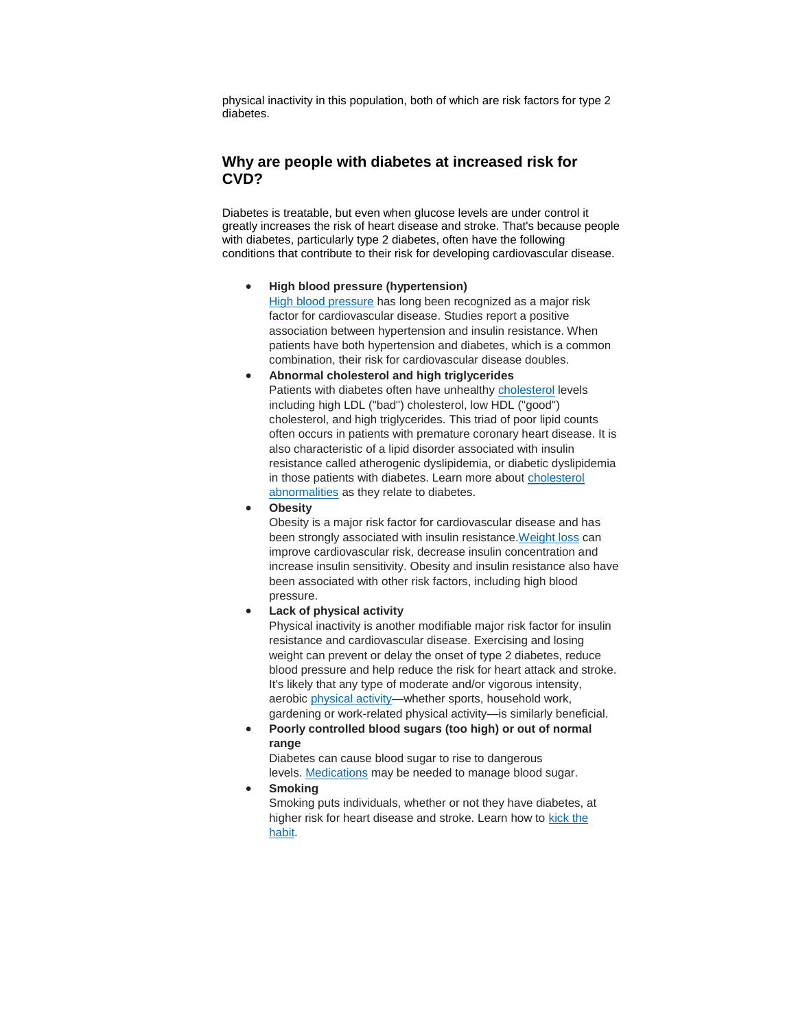physical inactivity in this population, both of which are risk factors for type 2 diabetes.

## **Why are people with diabetes at increased risk for CVD?**

Diabetes is treatable, but even when glucose levels are under control it greatly increases the risk of heart disease and stroke. That's because people with diabetes, particularly type 2 diabetes, often have the following conditions that contribute to their risk for developing cardiovascular disease.

**High blood pressure (hypertension)**

[High blood pressure](http://www.heart.org/HEARTORG/Conditions/HighBloodPressure/High-Blood-Pressure-or-Hypertension_UCM_002020_SubHomePage.jsp) has long been recognized as a major risk factor for cardiovascular disease. Studies report a positive association between hypertension and insulin resistance. When patients have both hypertension and diabetes, which is a common combination, their risk for cardiovascular disease doubles.

- **Abnormal cholesterol and high triglycerides** Patients with diabetes often have unhealthy [cholesterol](http://www.heart.org/HEARTORG/Conditions/Cholesterol/Cholesterol_UCM_001089_SubHomePage.jsp) levels including high LDL ("bad") cholesterol, low HDL ("good") cholesterol, and high triglycerides. This triad of poor lipid counts often occurs in patients with premature coronary heart disease. It is also characteristic of a lipid disorder associated with insulin resistance called atherogenic dyslipidemia, or diabetic dyslipidemia in those patients with diabetes. Learn more about cholesterol [abnormalities](http://www.heart.org/HEARTORG/Conditions/Diabetes/WhyDiabetesMatters/Cholesterol-Abnormalities-Diabetes_UCM_313868_Article.jsp) as they relate to diabetes.
- **Obesity**

Obesity is a major risk factor for cardiovascular disease and has been strongly associated with insulin resistance[.Weight loss](http://www.heart.org/HEARTORG/GettingHealthy/WeightManagement/LosingWeight/Losing-Weight_UCM_307904_Article.jsp) can improve cardiovascular risk, decrease insulin concentration and increase insulin sensitivity. Obesity and insulin resistance also have been associated with other risk factors, including high blood pressure.

### **Lack of physical activity**

Physical inactivity is another modifiable major risk factor for insulin resistance and cardiovascular disease. Exercising and losing weight can prevent or delay the onset of type 2 diabetes, reduce blood pressure and help reduce the risk for heart attack and stroke. It's likely that any type of moderate and/or vigorous intensity, aerobic [physical activity—](http://www.heart.org/HEARTORG/GettingHealthy/PhysicalActivity/Physical-Activity_UCM_001080_SubHomePage.jsp)whether sports, household work, gardening or work-related physical activity—is similarly beneficial.

 **Poorly controlled blood sugars (too high) or out of normal range**

Diabetes can cause blood sugar to rise to dangerous levels. [Medications](http://www.heart.org/HEARTORG/Conditions/Diabetes/PreventionTreatmentofDiabetes/Diabetes-Medications_UCM_313870_Article.jsp) may be needed to manage blood sugar.

**Smoking**

Smoking puts individuals, whether or not they have diabetes, at higher risk for heart disease and stroke. Learn how to [kick the](http://www.heart.org/HEARTORG/GettingHealthy/QuitSmoking/Quit-Smoking_UCM_001085_SubHomePage.jsp)  [habit.](http://www.heart.org/HEARTORG/GettingHealthy/QuitSmoking/Quit-Smoking_UCM_001085_SubHomePage.jsp)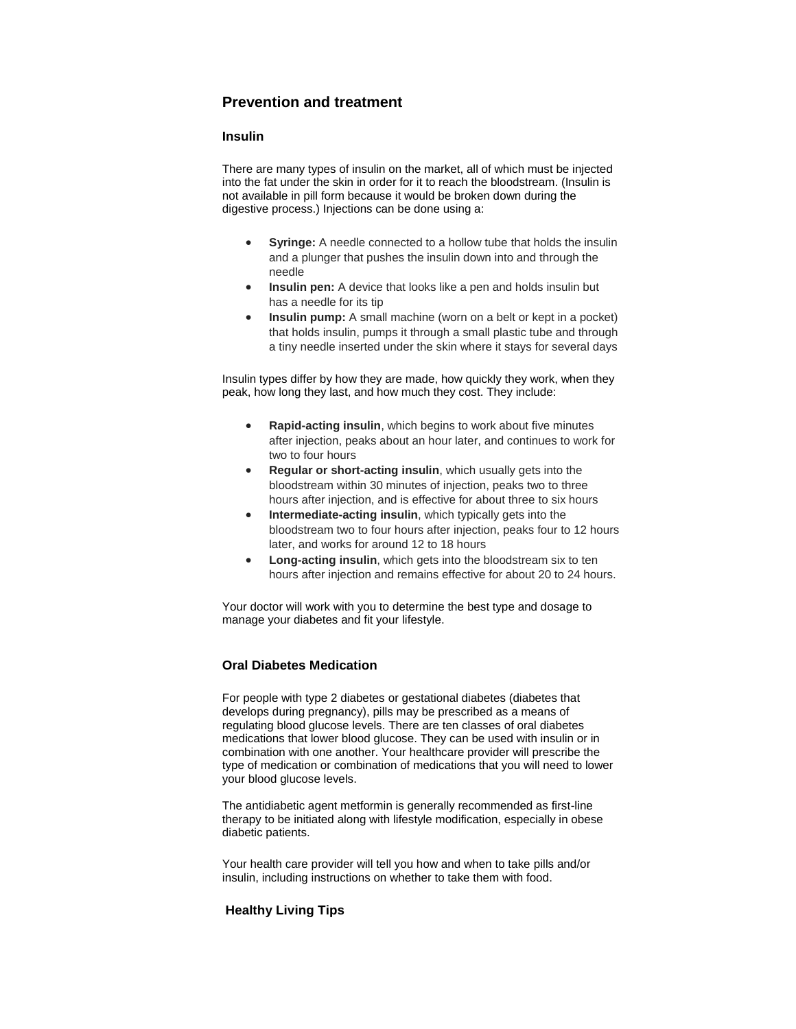## **Prevention and treatment**

### **Insulin**

There are many types of insulin on the market, all of which must be injected into the fat under the skin in order for it to reach the bloodstream. (Insulin is not available in pill form because it would be broken down during the digestive process.) Injections can be done using a:

- **Syringe:** A needle connected to a hollow tube that holds the insulin and a plunger that pushes the insulin down into and through the needle
- **Insulin pen:** A device that looks like a pen and holds insulin but has a needle for its tip
- **Insulin pump:** A small machine (worn on a belt or kept in a pocket) that holds insulin, pumps it through a small plastic tube and through a tiny needle inserted under the skin where it stays for several days

Insulin types differ by how they are made, how quickly they work, when they peak, how long they last, and how much they cost. They include:

- **Rapid-acting insulin**, which begins to work about five minutes after injection, peaks about an hour later, and continues to work for two to four hours
- **Regular or short-acting insulin**, which usually gets into the bloodstream within 30 minutes of injection, peaks two to three hours after injection, and is effective for about three to six hours
- **•** Intermediate-acting insulin, which typically gets into the bloodstream two to four hours after injection, peaks four to 12 hours later, and works for around 12 to 18 hours
- **Long-acting insulin**, which gets into the bloodstream six to ten hours after injection and remains effective for about 20 to 24 hours.

Your doctor will work with you to determine the best type and dosage to manage your diabetes and fit your lifestyle.

## **Oral Diabetes Medication**

For people with type 2 diabetes or gestational diabetes (diabetes that develops during pregnancy), pills may be prescribed as a means of regulating blood glucose levels. There are ten classes of oral diabetes medications that lower blood glucose. They can be used with insulin or in combination with one another. Your healthcare provider will prescribe the type of medication or combination of medications that you will need to lower your blood glucose levels.

The antidiabetic agent metformin is generally recommended as first-line therapy to be initiated along with lifestyle modification, especially in obese diabetic patients.

Your health care provider will tell you how and when to take pills and/or insulin, including instructions on whether to take them with food.

## **Healthy Living Tips**